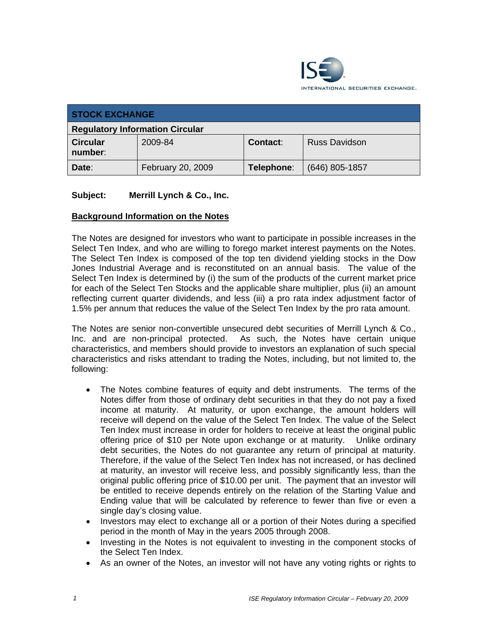

| <b>STOCK EXCHANGE</b>                  |                   |            |                      |  |  |
|----------------------------------------|-------------------|------------|----------------------|--|--|
| <b>Regulatory Information Circular</b> |                   |            |                      |  |  |
| <b>Circular</b><br>number:             | 2009-84           | Contact:   | <b>Russ Davidson</b> |  |  |
| Date:                                  | February 20, 2009 | Telephone: | $(646)$ 805-1857     |  |  |

## **Subject: Merrill Lynch & Co., Inc.**

#### **Background Information on the Notes**

The Notes are designed for investors who want to participate in possible increases in the Select Ten Index, and who are willing to forego market interest payments on the Notes. The Select Ten Index is composed of the top ten dividend yielding stocks in the Dow Jones Industrial Average and is reconstituted on an annual basis. The value of the Select Ten Index is determined by (i) the sum of the products of the current market price for each of the Select Ten Stocks and the applicable share multiplier, plus (ii) an amount reflecting current quarter dividends, and less (iii) a pro rata index adjustment factor of 1.5% per annum that reduces the value of the Select Ten Index by the pro rata amount.

The Notes are senior non-convertible unsecured debt securities of Merrill Lynch & Co., Inc. and are non-principal protected. As such, the Notes have certain unique characteristics, and members should provide to investors an explanation of such special characteristics and risks attendant to trading the Notes, including, but not limited to, the following:

- The Notes combine features of equity and debt instruments. The terms of the Notes differ from those of ordinary debt securities in that they do not pay a fixed income at maturity. At maturity, or upon exchange, the amount holders will receive will depend on the value of the Select Ten Index. The value of the Select Ten Index must increase in order for holders to receive at least the original public offering price of \$10 per Note upon exchange or at maturity. Unlike ordinary debt securities, the Notes do not guarantee any return of principal at maturity. Therefore, if the value of the Select Ten Index has not increased, or has declined at maturity, an investor will receive less, and possibly significantly less, than the original public offering price of \$10.00 per unit. The payment that an investor will be entitled to receive depends entirely on the relation of the Starting Value and Ending value that will be calculated by reference to fewer than five or even a single day's closing value.
- Investors may elect to exchange all or a portion of their Notes during a specified period in the month of May in the years 2005 through 2008.
- Investing in the Notes is not equivalent to investing in the component stocks of the Select Ten Index.
- As an owner of the Notes, an investor will not have any voting rights or rights to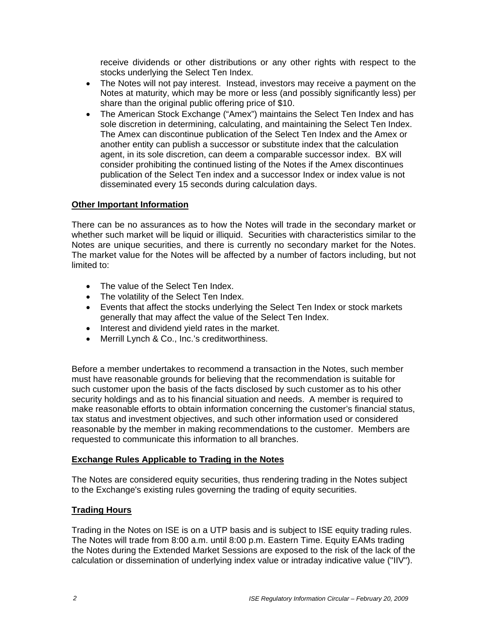receive dividends or other distributions or any other rights with respect to the stocks underlying the Select Ten Index.

- The Notes will not pay interest. Instead, investors may receive a payment on the Notes at maturity, which may be more or less (and possibly significantly less) per share than the original public offering price of \$10.
- The American Stock Exchange ("Amex") maintains the Select Ten Index and has sole discretion in determining, calculating, and maintaining the Select Ten Index. The Amex can discontinue publication of the Select Ten Index and the Amex or another entity can publish a successor or substitute index that the calculation agent, in its sole discretion, can deem a comparable successor index. BX will consider prohibiting the continued listing of the Notes if the Amex discontinues publication of the Select Ten index and a successor Index or index value is not disseminated every 15 seconds during calculation days.

#### **Other Important Information**

There can be no assurances as to how the Notes will trade in the secondary market or whether such market will be liquid or illiquid. Securities with characteristics similar to the Notes are unique securities, and there is currently no secondary market for the Notes. The market value for the Notes will be affected by a number of factors including, but not limited to:

- The value of the Select Ten Index.
- The volatility of the Select Ten Index.
- Events that affect the stocks underlying the Select Ten Index or stock markets generally that may affect the value of the Select Ten Index.
- Interest and dividend yield rates in the market.
- Merrill Lynch & Co., Inc.'s creditworthiness.

Before a member undertakes to recommend a transaction in the Notes, such member must have reasonable grounds for believing that the recommendation is suitable for such customer upon the basis of the facts disclosed by such customer as to his other security holdings and as to his financial situation and needs. A member is required to make reasonable efforts to obtain information concerning the customer's financial status, tax status and investment objectives, and such other information used or considered reasonable by the member in making recommendations to the customer. Members are requested to communicate this information to all branches.

## **Exchange Rules Applicable to Trading in the Notes**

The Notes are considered equity securities, thus rendering trading in the Notes subject to the Exchange's existing rules governing the trading of equity securities.

## **Trading Hours**

Trading in the Notes on ISE is on a UTP basis and is subject to ISE equity trading rules. The Notes will trade from 8:00 a.m. until 8:00 p.m. Eastern Time. Equity EAMs trading the Notes during the Extended Market Sessions are exposed to the risk of the lack of the calculation or dissemination of underlying index value or intraday indicative value ("IIV").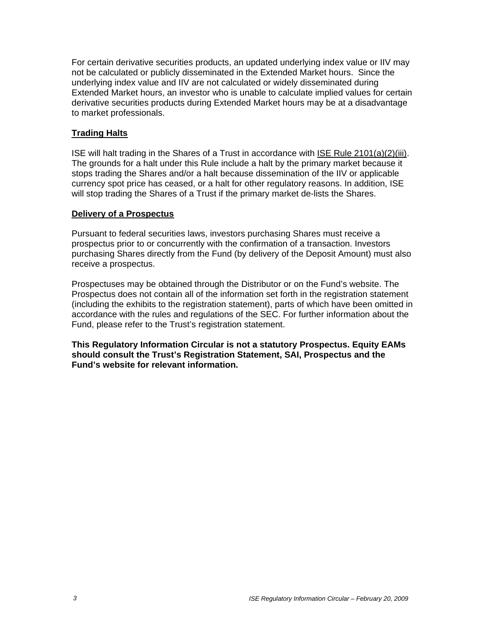For certain derivative securities products, an updated underlying index value or IIV may not be calculated or publicly disseminated in the Extended Market hours. Since the underlying index value and IIV are not calculated or widely disseminated during Extended Market hours, an investor who is unable to calculate implied values for certain derivative securities products during Extended Market hours may be at a disadvantage to market professionals.

## **Trading Halts**

ISE will halt trading in the Shares of a Trust in accordance with ISE Rule 2101(a)(2)(iii). The grounds for a halt under this Rule include a halt by the primary market because it stops trading the Shares and/or a halt because dissemination of the IIV or applicable currency spot price has ceased, or a halt for other regulatory reasons. In addition, ISE will stop trading the Shares of a Trust if the primary market de-lists the Shares.

#### **Delivery of a Prospectus**

Pursuant to federal securities laws, investors purchasing Shares must receive a prospectus prior to or concurrently with the confirmation of a transaction. Investors purchasing Shares directly from the Fund (by delivery of the Deposit Amount) must also receive a prospectus.

Prospectuses may be obtained through the Distributor or on the Fund's website. The Prospectus does not contain all of the information set forth in the registration statement (including the exhibits to the registration statement), parts of which have been omitted in accordance with the rules and regulations of the SEC. For further information about the Fund, please refer to the Trust's registration statement.

**This Regulatory Information Circular is not a statutory Prospectus. Equity EAMs should consult the Trust's Registration Statement, SAI, Prospectus and the Fund's website for relevant information.**